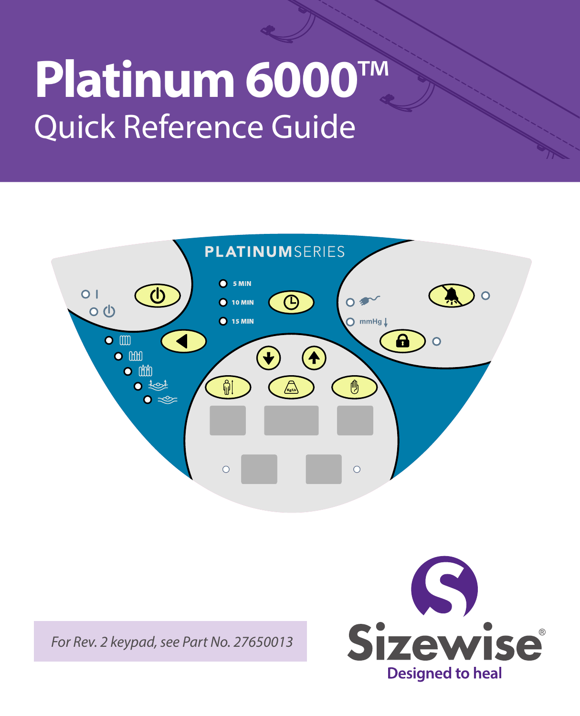# **Platinum 6000**™ Quick Reference Guide



*For Rev. 2 keypad, see Part No. 27650013*

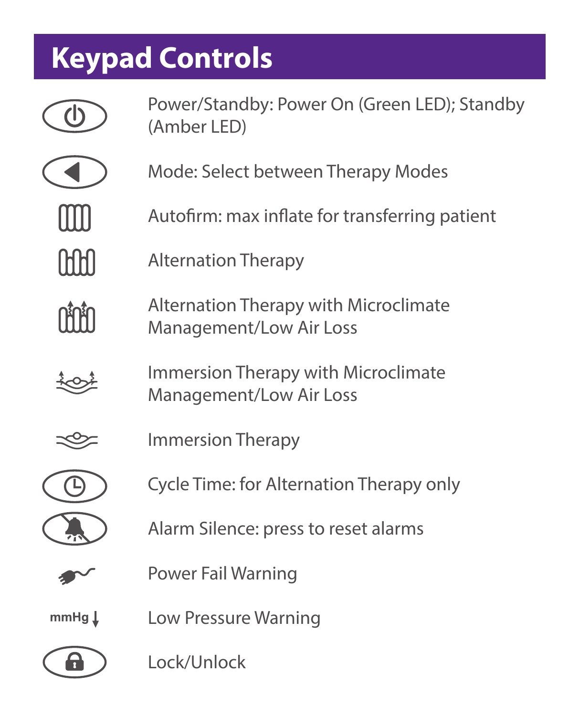# **Keypad Controls**

|                   | Power/Standby: Power On (Green LED); Standby<br>(Amber LED)      |
|-------------------|------------------------------------------------------------------|
|                   | Mode: Select between Therapy Modes                               |
|                   | Autofirm: max inflate for transferring patient                   |
|                   | <b>Alternation Therapy</b>                                       |
|                   | Alternation Therapy with Microclimate<br>Management/Low Air Loss |
|                   | Immersion Therapy with Microclimate<br>Management/Low Air Loss   |
|                   | Immersion Therapy                                                |
|                   | Cycle Time: for Alternation Therapy only                         |
|                   | Alarm Silence: press to reset alarms                             |
|                   | Power Fail Warning                                               |
| mmHg $\downarrow$ | Low Pressure Warning                                             |
|                   | Lock/Unlock                                                      |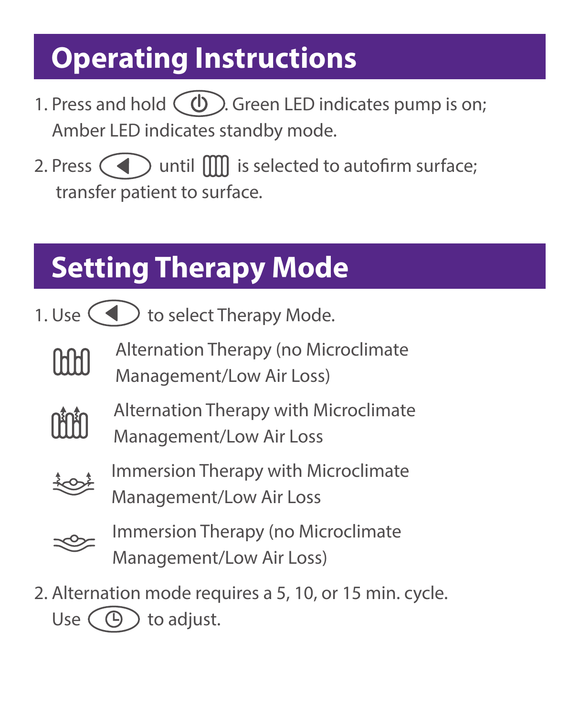### **Operating Instructions**

- 1. Press and hold  $\circ$   $\circ$   $\circ$  Green LED indicates pump is on; Amber LED indicates standby mode.
- 2. Press  $\left( \blacktriangleleft \right)$  until  $\left[ \left[ \right] \right]$  is selected to autofirm surface; transfer patient to surface.

# **Setting Therapy Mode**

- 1. Use  $\left($   $\blacktriangleleft$   $\right)$  to select Therapy Mode.
	- Alternation Therapy (no Microclimate IHHI Management/Low Air Loss)



Alternation Therapy with Microclimate Management/Low Air Loss



Immersion Therapy with Microclimate Management/Low Air Loss



- Immersion Therapy (no Microclimate Management/Low Air Loss)
- 2. Alternation mode requires a 5, 10, or 15 min. cycle. Use  $\left(\bigoplus$  to adjust.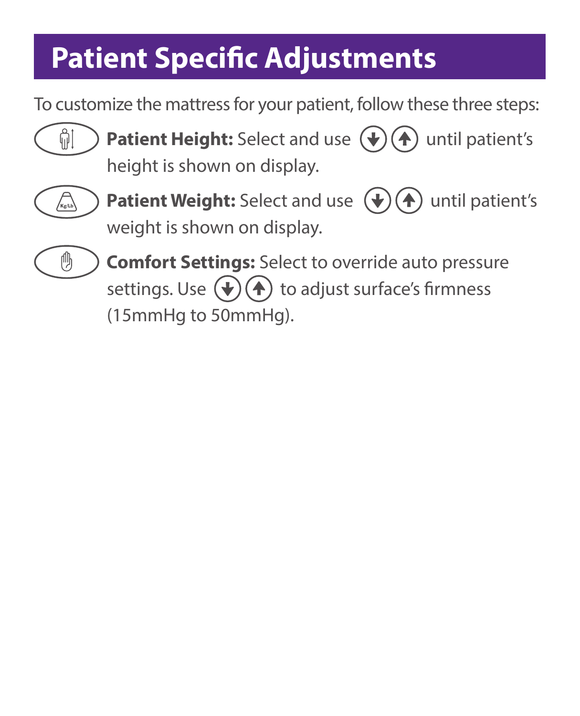## **Patient Specific Adjustments**

To customize the mattress for your patient, follow these three steps:



**Patient Height:** Select and use  $(\mathbf{\psi})(\mathbf{A})$  until patient's height is shown on display.



**Patient Weight:** Select and use  $(\mathbf{\psi})(\mathbf{A})$  until patient's weight is shown on display.



**Comfort Settings:** Select to override auto pressure settings. Use  $(\blacklozenge)(\blacklozenge)$  to adjust surface's firmness (15mmHg to 50mmHg).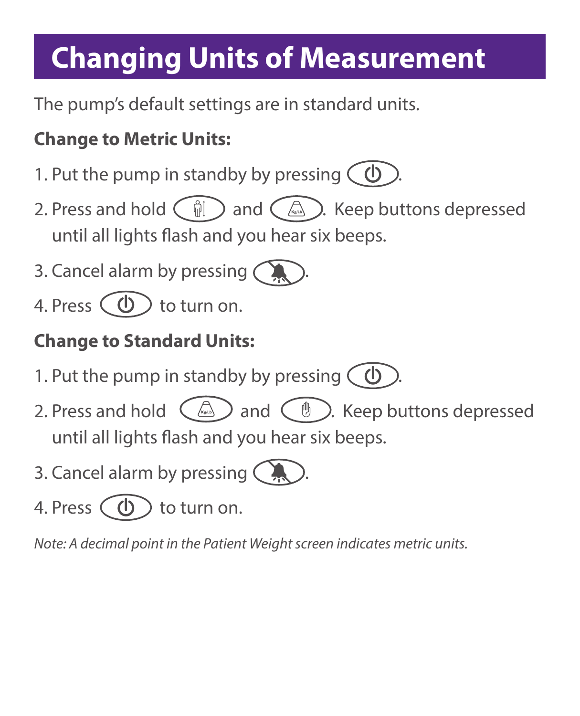### **Changing Units of Measurement**

The pump's default settings are in standard units.

#### **Change to Metric Units:**

- 1. Put the pump in standby by pressing  $\bigcirc$
- 2. Press and hold  $\binom{2}{0}$  and  $\binom{2}{0}$ . Keep buttons depressed until all lights flash and you hear six beeps.
- 3. Cancel alarm by pressing (
- 4. Press  $\left(\begin{array}{c}\Phi\end{array}\right)$  to turn on.

#### **Change to Standard Units:**

- 1. Put the pump in standby by pressing  $\bigcirc$
- 2. Press and hold  $\left(\begin{array}{c}\mathbb{A} \\ \mathbb{A}\end{array}\right)$  and  $\left(\begin{array}{c}\mathbb{B} \\ \mathbb{B}\end{array}\right)$ . Keep buttons depressed until all lights flash and you hear six beeps.
- 3. Cancel alarm by pressing  $\big($



4. Press  $\left(\begin{array}{c} \bullet \\ \bullet \end{array}\right)$  to turn on.

*Note: A decimal point in the Patient Weight screen indicates metric units.*